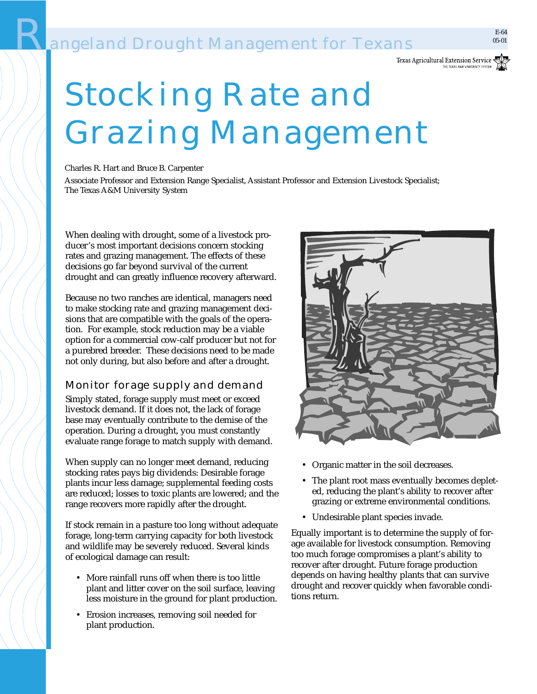# **Rangeland Drought Management for Texans**



Charles R. Hart and Bruce B. Carpenter

Associate Professor and Extension Range Specialist, Assistant Professor and Extension Livestock Specialist; The Texas A&M University System

When dealing with drought, some of a livestock producer's most important decisions concern stocking rates and grazing management. The effects of these decisions go far beyond survival of the current drought and can greatly influence recovery afterward.

Because no two ranches are identical, managers need to make stocking rate and grazing management decisions that are compatible with the goals of the operation. For example, stock reduction may be a viable option for a commercial cow-calf producer but not for a purebred breeder. These decisions need to be made not only during, but also before and after a drought.

# Monitor forage supply and demand

Simply stated, forage supply must meet or exceed livestock demand. If it does not, the lack of forage base may eventually contribute to the demise of the operation. During a drought, you must constantly evaluate range forage to match supply with demand.

When supply can no longer meet demand, reducing stocking rates pays big dividends: Desirable forage plants incur less damage; supplemental feeding costs are reduced; losses to toxic plants are lowered; and the range recovers more rapidly after the drought.

If stock remain in a pasture too long without adequate forage, long-term carrying capacity for both livestock and wildlife may be severely reduced. Several kinds of ecological damage can result:

- More rainfall runs off when there is too little plant and litter cover on the soil surface, leaving less moisture in the ground for plant production.
- Erosion increases, removing soil needed for plant production.



- Organic matter in the soil decreases.
- The plant root mass eventually becomes depleted, reducing the plant's ability to recover after grazing or extreme environmental conditions.
- Undesirable plant species invade.

Equally important is to determine the supply of forage available for livestock consumption. Removing too much forage compromises a plant's ability to recover after drought. Future forage production depends on having healthy plants that can survive drought and recover quickly when favorable conditions return.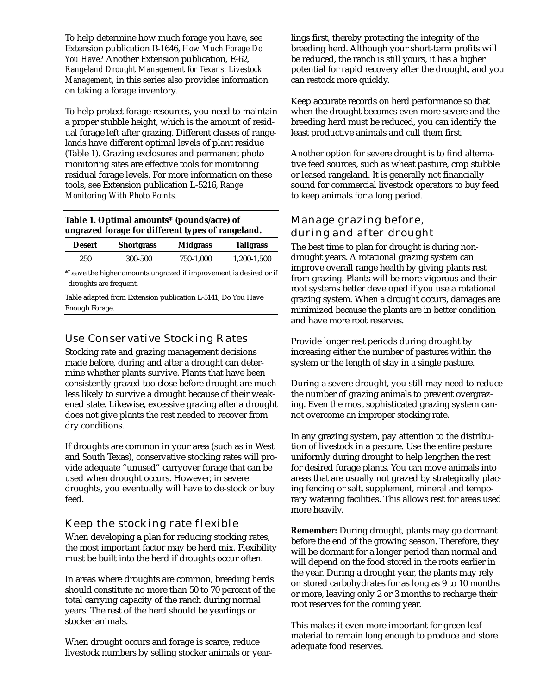To help determine how much forage you have, see Extension publication B-1646, *How Much Forage Do You Have?* Another Extension publication, E-62, *Rangeland Drought Management for Texans: Livestock Management*, in this series also provides information on taking a forage inventory.

To help protect forage resources, you need to maintain a proper stubble height, which is the amount of residual forage left after grazing. Different classes of rangelands have different optimal levels of plant residue (Table 1). Grazing exclosures and permanent photo monitoring sites are effective tools for monitoring residual forage levels. For more information on these tools, see Extension publication L-5216, *Range Monitoring With Photo Points*.

**Table 1. Optimal amounts\* (pounds/acre) of ungrazed forage for different types of rangeland.**

| <b>Desert</b> | <b>Shortgrass</b> | <b>Midgrass</b> | <b>Tallgrass</b> |
|---------------|-------------------|-----------------|------------------|
| 250           | 300-500           | 750-1.000       | 1,200-1,500      |

\*Leave the higher amounts ungrazed if improvement is desired or if droughts are frequent.

Table adapted from Extension publication L-5141, Do You Have Enough Forage.

### Use Conservative Stocking Rates

Stocking rate and grazing management decisions made before, during and after a drought can determine whether plants survive. Plants that have been consistently grazed too close before drought are much less likely to survive a drought because of their weakened state. Likewise, excessive grazing after a drought does not give plants the rest needed to recover from dry conditions.

If droughts are common in your area (such as in West and South Texas), conservative stocking rates will provide adequate "unused" carryover forage that can be used when drought occurs. However, in severe droughts, you eventually will have to de-stock or buy feed.

# Keep the stocking rate flexible

When developing a plan for reducing stocking rates, the most important factor may be herd mix. Flexibility must be built into the herd if droughts occur often.

In areas where droughts are common, breeding herds should constitute no more than 50 to 70 percent of the total carrying capacity of the ranch during normal years. The rest of the herd should be yearlings or stocker animals.

When drought occurs and forage is scarce, reduce livestock numbers by selling stocker animals or yearlings first, thereby protecting the integrity of the breeding herd. Although your short-term profits will be reduced, the ranch is still yours, it has a higher potential for rapid recovery after the drought, and you can restock more quickly.

Keep accurate records on herd performance so that when the drought becomes even more severe and the breeding herd must be reduced, you can identify the least productive animals and cull them first.

Another option for severe drought is to find alternative feed sources, such as wheat pasture, crop stubble or leased rangeland. It is generally not financially sound for commercial livestock operators to buy feed to keep animals for a long period.

# Manage grazing before, during and after drought

The best time to plan for drought is during nondrought years. A rotational grazing system can improve overall range health by giving plants rest from grazing. Plants will be more vigorous and their root systems better developed if you use a rotational grazing system. When a drought occurs, damages are minimized because the plants are in better condition and have more root reserves.

Provide longer rest periods during drought by increasing either the number of pastures within the system or the length of stay in a single pasture.

During a severe drought, you still may need to reduce the number of grazing animals to prevent overgrazing. Even the most sophisticated grazing system cannot overcome an improper stocking rate.

In any grazing system, pay attention to the distribution of livestock in a pasture. Use the entire pasture uniformly during drought to help lengthen the rest for desired forage plants. You can move animals into areas that are usually not grazed by strategically placing fencing or salt, supplement, mineral and temporary watering facilities. This allows rest for areas used more heavily.

**Remember:** During drought, plants may go dormant before the end of the growing season. Therefore, they will be dormant for a longer period than normal and will depend on the food stored in the roots earlier in the year. During a drought year, the plants may rely on stored carbohydrates for as long as 9 to 10 months or more, leaving only 2 or 3 months to recharge their root reserves for the coming year.

This makes it even more important for green leaf material to remain long enough to produce and store adequate food reserves.